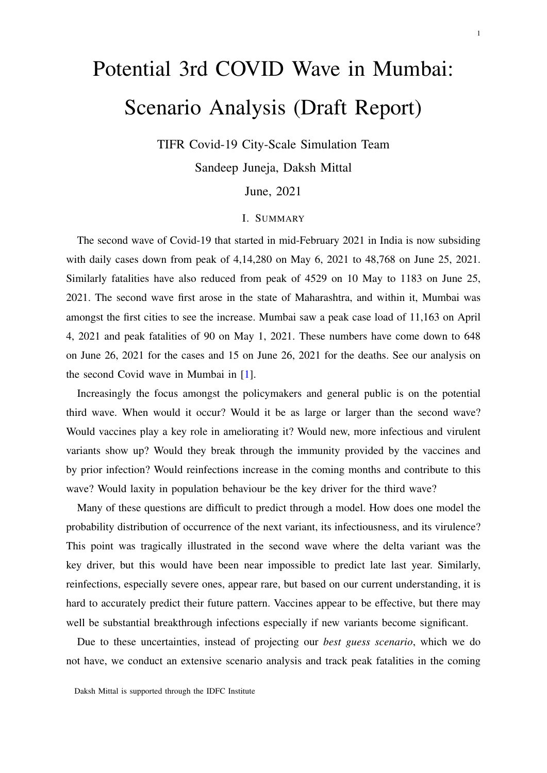# Potential 3rd COVID Wave in Mumbai: Scenario Analysis (Draft Report)

TIFR Covid-19 City-Scale Simulation Team

Sandeep Juneja, Daksh Mittal

June, 2021

## I. SUMMARY

The second wave of Covid-19 that started in mid-February 2021 in India is now subsiding with daily cases down from peak of 4,14,280 on May 6, 2021 to 48,768 on June 25, 2021. Similarly fatalities have also reduced from peak of 4529 on 10 May to 1183 on June 25, 2021. The second wave first arose in the state of Maharashtra, and within it, Mumbai was amongst the first cities to see the increase. Mumbai saw a peak case load of 11,163 on April 4, 2021 and peak fatalities of 90 on May 1, 2021. These numbers have come down to 648 on June 26, 2021 for the cases and 15 on June 26, 2021 for the deaths. See our analysis on the second Covid wave in Mumbai in [\[1\]](#page-8-0).

Increasingly the focus amongst the policymakers and general public is on the potential third wave. When would it occur? Would it be as large or larger than the second wave? Would vaccines play a key role in ameliorating it? Would new, more infectious and virulent variants show up? Would they break through the immunity provided by the vaccines and by prior infection? Would reinfections increase in the coming months and contribute to this wave? Would laxity in population behaviour be the key driver for the third wave?

Many of these questions are difficult to predict through a model. How does one model the probability distribution of occurrence of the next variant, its infectiousness, and its virulence? This point was tragically illustrated in the second wave where the delta variant was the key driver, but this would have been near impossible to predict late last year. Similarly, reinfections, especially severe ones, appear rare, but based on our current understanding, it is hard to accurately predict their future pattern. Vaccines appear to be effective, but there may well be substantial breakthrough infections especially if new variants become significant.

Due to these uncertainties, instead of projecting our *best guess scenario*, which we do not have, we conduct an extensive scenario analysis and track peak fatalities in the coming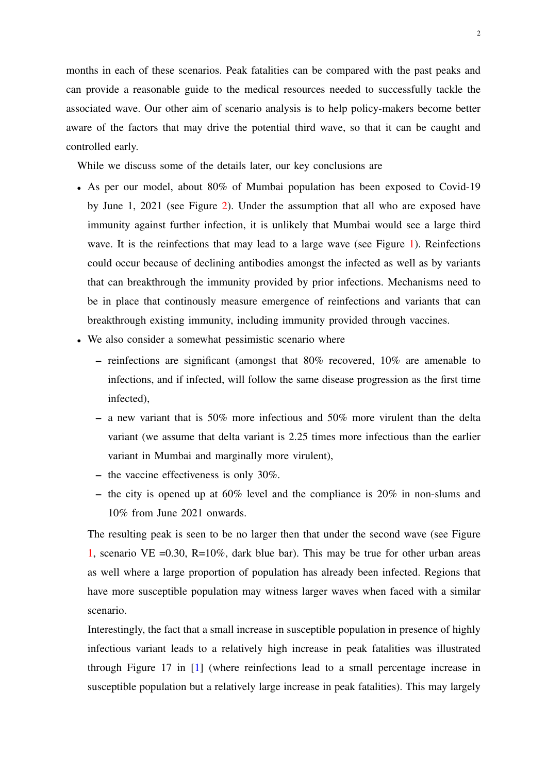months in each of these scenarios. Peak fatalities can be compared with the past peaks and can provide a reasonable guide to the medical resources needed to successfully tackle the associated wave. Our other aim of scenario analysis is to help policy-makers become better aware of the factors that may drive the potential third wave, so that it can be caught and controlled early.

While we discuss some of the details later, our key conclusions are

- As per our model, about 80% of Mumbai population has been exposed to Covid-19 by June 1, 2021 (see Figure [2\)](#page-4-0). Under the assumption that all who are exposed have immunity against further infection, it is unlikely that Mumbai would see a large third wave. It is the reinfections that may lead to a large wave (see Figure [1\)](#page-3-0). Reinfections could occur because of declining antibodies amongst the infected as well as by variants that can breakthrough the immunity provided by prior infections. Mechanisms need to be in place that continously measure emergence of reinfections and variants that can breakthrough existing immunity, including immunity provided through vaccines.
- We also consider a somewhat pessimistic scenario where
	- reinfections are significant (amongst that 80% recovered, 10% are amenable to infections, and if infected, will follow the same disease progression as the first time infected),
	- a new variant that is 50% more infectious and 50% more virulent than the delta variant (we assume that delta variant is 2.25 times more infectious than the earlier variant in Mumbai and marginally more virulent),
	- the vaccine effectiveness is only 30%.
	- the city is opened up at 60% level and the compliance is 20% in non-slums and 10% from June 2021 onwards.

The resulting peak is seen to be no larger then that under the second wave (see Figure [1,](#page-3-0) scenario VE =0.30, R=10%, dark blue bar). This may be true for other urban areas as well where a large proportion of population has already been infected. Regions that have more susceptible population may witness larger waves when faced with a similar scenario.

Interestingly, the fact that a small increase in susceptible population in presence of highly infectious variant leads to a relatively high increase in peak fatalities was illustrated through Figure 17 in [\[1\]](#page-8-0) (where reinfections lead to a small percentage increase in susceptible population but a relatively large increase in peak fatalities). This may largely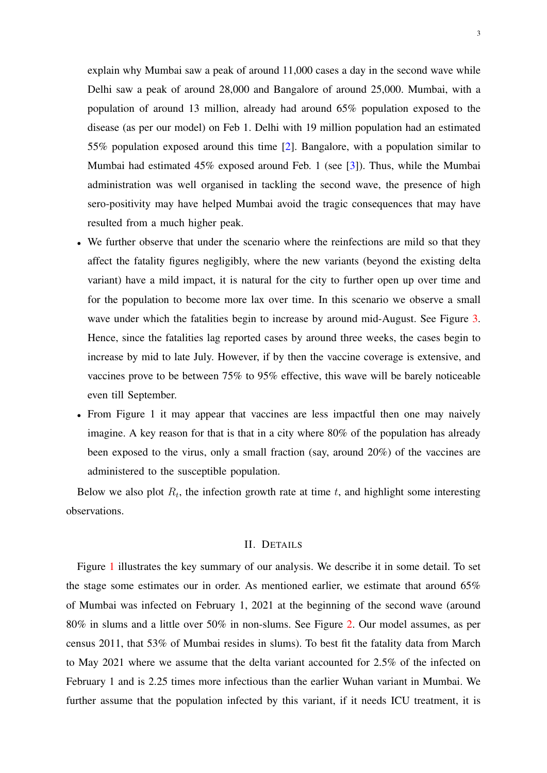explain why Mumbai saw a peak of around 11,000 cases a day in the second wave while Delhi saw a peak of around 28,000 and Bangalore of around 25,000. Mumbai, with a population of around 13 million, already had around 65% population exposed to the disease (as per our model) on Feb 1. Delhi with 19 million population had an estimated 55% population exposed around this time [\[2\]](#page-8-1). Bangalore, with a population similar to Mumbai had estimated 45% exposed around Feb. 1 (see [\[3\]](#page-8-2)). Thus, while the Mumbai administration was well organised in tackling the second wave, the presence of high sero-positivity may have helped Mumbai avoid the tragic consequences that may have resulted from a much higher peak.

- We further observe that under the scenario where the reinfections are mild so that they affect the fatality figures negligibly, where the new variants (beyond the existing delta variant) have a mild impact, it is natural for the city to further open up over time and for the population to become more lax over time. In this scenario we observe a small wave under which the fatalities begin to increase by around mid-August. See Figure [3.](#page-5-0) Hence, since the fatalities lag reported cases by around three weeks, the cases begin to increase by mid to late July. However, if by then the vaccine coverage is extensive, and vaccines prove to be between 75% to 95% effective, this wave will be barely noticeable even till September.
- From Figure 1 it may appear that vaccines are less impactful then one may naively imagine. A key reason for that is that in a city where 80% of the population has already been exposed to the virus, only a small fraction (say, around 20%) of the vaccines are administered to the susceptible population.

Below we also plot  $R_t$ , the infection growth rate at time t, and highlight some interesting observations.

#### II. DETAILS

Figure [1](#page-3-0) illustrates the key summary of our analysis. We describe it in some detail. To set the stage some estimates our in order. As mentioned earlier, we estimate that around 65% of Mumbai was infected on February 1, 2021 at the beginning of the second wave (around 80% in slums and a little over 50% in non-slums. See Figure [2.](#page-4-0) Our model assumes, as per census 2011, that 53% of Mumbai resides in slums). To best fit the fatality data from March to May 2021 where we assume that the delta variant accounted for 2.5% of the infected on February 1 and is 2.25 times more infectious than the earlier Wuhan variant in Mumbai. We further assume that the population infected by this variant, if it needs ICU treatment, it is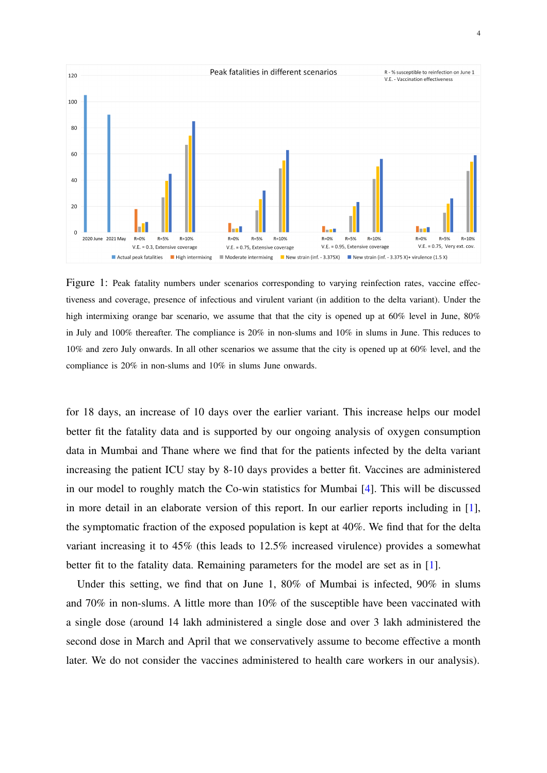<span id="page-3-0"></span>

Figure 1: Peak fatality numbers under scenarios corresponding to varying reinfection rates, vaccine effectiveness and coverage, presence of infectious and virulent variant (in addition to the delta variant). Under the high intermixing orange bar scenario, we assume that that the city is opened up at 60% level in June, 80% in July and 100% thereafter. The compliance is 20% in non-slums and 10% in slums in June. This reduces to 10% and zero July onwards. In all other scenarios we assume that the city is opened up at 60% level, and the compliance is 20% in non-slums and 10% in slums June onwards.

for 18 days, an increase of 10 days over the earlier variant. This increase helps our model better fit the fatality data and is supported by our ongoing analysis of oxygen consumption data in Mumbai and Thane where we find that for the patients infected by the delta variant increasing the patient ICU stay by 8-10 days provides a better fit. Vaccines are administered in our model to roughly match the Co-win statistics for Mumbai [\[4\]](#page-8-3). This will be discussed in more detail in an elaborate version of this report. In our earlier reports including in [\[1\]](#page-8-0), the symptomatic fraction of the exposed population is kept at 40%. We find that for the delta variant increasing it to 45% (this leads to 12.5% increased virulence) provides a somewhat better fit to the fatality data. Remaining parameters for the model are set as in [\[1\]](#page-8-0).

Under this setting, we find that on June 1, 80% of Mumbai is infected, 90% in slums and 70% in non-slums. A little more than 10% of the susceptible have been vaccinated with a single dose (around 14 lakh administered a single dose and over 3 lakh administered the second dose in March and April that we conservatively assume to become effective a month later. We do not consider the vaccines administered to health care workers in our analysis).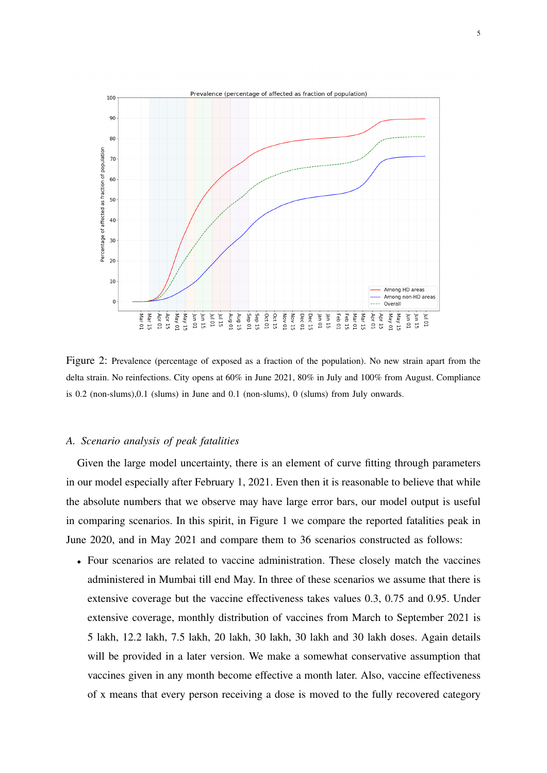<span id="page-4-0"></span>

Figure 2: Prevalence (percentage of exposed as a fraction of the population). No new strain apart from the delta strain. No reinfections. City opens at 60% in June 2021, 80% in July and 100% from August. Compliance is 0.2 (non-slums),0.1 (slums) in June and 0.1 (non-slums), 0 (slums) from July onwards.

### *A. Scenario analysis of peak fatalities*

Given the large model uncertainty, there is an element of curve fitting through parameters in our model especially after February 1, 2021. Even then it is reasonable to believe that while the absolute numbers that we observe may have large error bars, our model output is useful in comparing scenarios. In this spirit, in Figure 1 we compare the reported fatalities peak in June 2020, and in May 2021 and compare them to 36 scenarios constructed as follows:

• Four scenarios are related to vaccine administration. These closely match the vaccines administered in Mumbai till end May. In three of these scenarios we assume that there is extensive coverage but the vaccine effectiveness takes values 0.3, 0.75 and 0.95. Under extensive coverage, monthly distribution of vaccines from March to September 2021 is 5 lakh, 12.2 lakh, 7.5 lakh, 20 lakh, 30 lakh, 30 lakh and 30 lakh doses. Again details will be provided in a later version. We make a somewhat conservative assumption that vaccines given in any month become effective a month later. Also, vaccine effectiveness of x means that every person receiving a dose is moved to the fully recovered category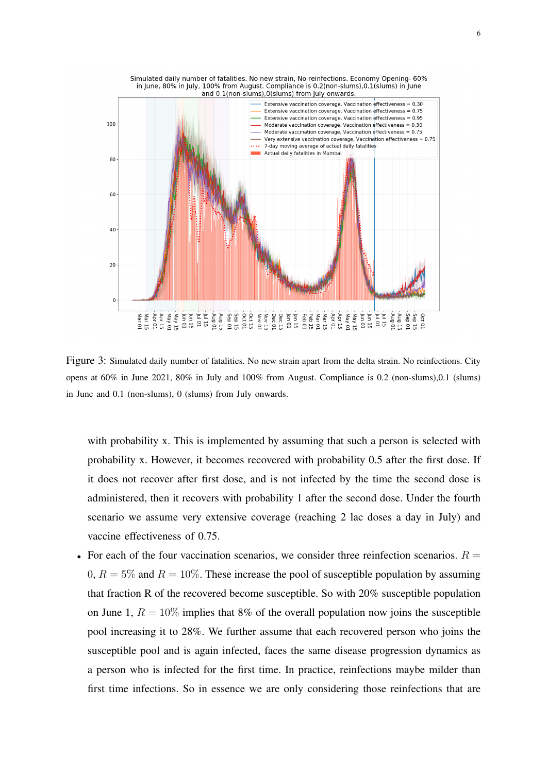<span id="page-5-0"></span>

Figure 3: Simulated daily number of fatalities. No new strain apart from the delta strain. No reinfections. City opens at 60% in June 2021, 80% in July and 100% from August. Compliance is 0.2 (non-slums),0.1 (slums) in June and 0.1 (non-slums), 0 (slums) from July onwards.

with probability x. This is implemented by assuming that such a person is selected with probability x. However, it becomes recovered with probability 0.5 after the first dose. If it does not recover after first dose, and is not infected by the time the second dose is administered, then it recovers with probability 1 after the second dose. Under the fourth scenario we assume very extensive coverage (reaching 2 lac doses a day in July) and vaccine effectiveness of 0.75.

• For each of the four vaccination scenarios, we consider three reinfection scenarios.  $R =$ 0,  $R = 5\%$  and  $R = 10\%$ . These increase the pool of susceptible population by assuming that fraction R of the recovered become susceptible. So with 20% susceptible population on June 1,  $R = 10\%$  implies that 8% of the overall population now joins the susceptible pool increasing it to 28%. We further assume that each recovered person who joins the susceptible pool and is again infected, faces the same disease progression dynamics as a person who is infected for the first time. In practice, reinfections maybe milder than first time infections. So in essence we are only considering those reinfections that are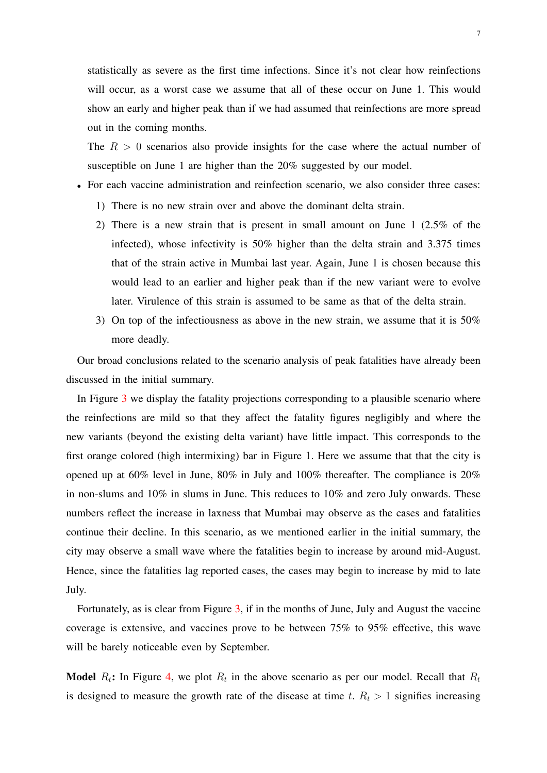statistically as severe as the first time infections. Since it's not clear how reinfections will occur, as a worst case we assume that all of these occur on June 1. This would show an early and higher peak than if we had assumed that reinfections are more spread out in the coming months.

The  $R > 0$  scenarios also provide insights for the case where the actual number of susceptible on June 1 are higher than the 20% suggested by our model.

- For each vaccine administration and reinfection scenario, we also consider three cases:
	- 1) There is no new strain over and above the dominant delta strain.
	- 2) There is a new strain that is present in small amount on June 1 (2.5% of the infected), whose infectivity is 50% higher than the delta strain and 3.375 times that of the strain active in Mumbai last year. Again, June 1 is chosen because this would lead to an earlier and higher peak than if the new variant were to evolve later. Virulence of this strain is assumed to be same as that of the delta strain.
	- 3) On top of the infectiousness as above in the new strain, we assume that it is 50% more deadly.

Our broad conclusions related to the scenario analysis of peak fatalities have already been discussed in the initial summary.

In Figure [3](#page-5-0) we display the fatality projections corresponding to a plausible scenario where the reinfections are mild so that they affect the fatality figures negligibly and where the new variants (beyond the existing delta variant) have little impact. This corresponds to the first orange colored (high intermixing) bar in Figure 1. Here we assume that that the city is opened up at 60% level in June, 80% in July and 100% thereafter. The compliance is 20% in non-slums and 10% in slums in June. This reduces to 10% and zero July onwards. These numbers reflect the increase in laxness that Mumbai may observe as the cases and fatalities continue their decline. In this scenario, as we mentioned earlier in the initial summary, the city may observe a small wave where the fatalities begin to increase by around mid-August. Hence, since the fatalities lag reported cases, the cases may begin to increase by mid to late July.

Fortunately, as is clear from Figure [3,](#page-5-0) if in the months of June, July and August the vaccine coverage is extensive, and vaccines prove to be between 75% to 95% effective, this wave will be barely noticeable even by September.

**Model**  $R_t$ : In Figure [4,](#page-8-4) we plot  $R_t$  in the above scenario as per our model. Recall that  $R_t$ is designed to measure the growth rate of the disease at time t.  $R_t > 1$  signifies increasing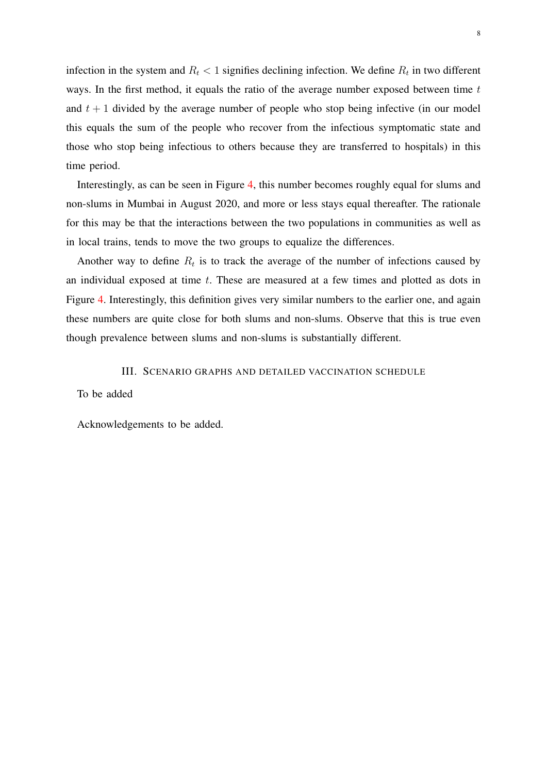infection in the system and  $R_t < 1$  signifies declining infection. We define  $R_t$  in two different ways. In the first method, it equals the ratio of the average number exposed between time  $t$ and  $t + 1$  divided by the average number of people who stop being infective (in our model this equals the sum of the people who recover from the infectious symptomatic state and those who stop being infectious to others because they are transferred to hospitals) in this time period.

Interestingly, as can be seen in Figure [4,](#page-8-4) this number becomes roughly equal for slums and non-slums in Mumbai in August 2020, and more or less stays equal thereafter. The rationale for this may be that the interactions between the two populations in communities as well as in local trains, tends to move the two groups to equalize the differences.

Another way to define  $R_t$  is to track the average of the number of infections caused by an individual exposed at time  $t$ . These are measured at a few times and plotted as dots in Figure [4.](#page-8-4) Interestingly, this definition gives very similar numbers to the earlier one, and again these numbers are quite close for both slums and non-slums. Observe that this is true even though prevalence between slums and non-slums is substantially different.

III. SCENARIO GRAPHS AND DETAILED VACCINATION SCHEDULE

To be added

Acknowledgements to be added.